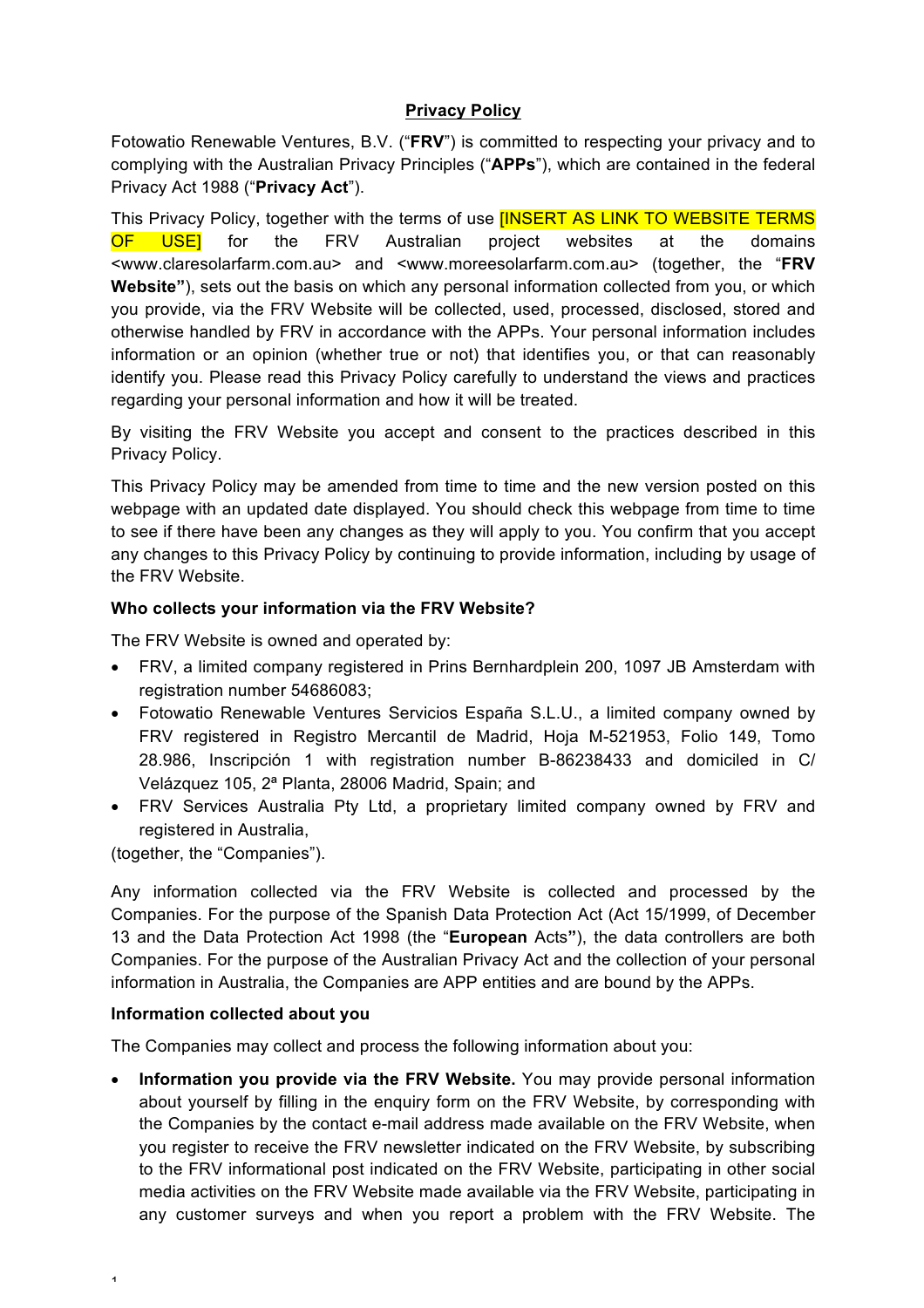# **Privacy Policy**

Fotowatio Renewable Ventures, B.V. ("**FRV**") is committed to respecting your privacy and to complying with the Australian Privacy Principles ("**APPs**"), which are contained in the federal Privacy Act 1988 ("**Privacy Act**").

This Privacy Policy, together with the terms of use **[INSERT AS LINK TO WEBSITE TERMS** OF USEI for the FRV Australian project websites at the domains <www.claresolarfarm.com.au> and <www.moreesolarfarm.com.au> (together, the "**FRV Website"**), sets out the basis on which any personal information collected from you, or which you provide, via the FRV Website will be collected, used, processed, disclosed, stored and otherwise handled by FRV in accordance with the APPs. Your personal information includes information or an opinion (whether true or not) that identifies you, or that can reasonably identify you. Please read this Privacy Policy carefully to understand the views and practices regarding your personal information and how it will be treated.

By visiting the FRV Website you accept and consent to the practices described in this Privacy Policy.

This Privacy Policy may be amended from time to time and the new version posted on this webpage with an updated date displayed. You should check this webpage from time to time to see if there have been any changes as they will apply to you. You confirm that you accept any changes to this Privacy Policy by continuing to provide information, including by usage of the FRV Website.

# **Who collects your information via the FRV Website?**

The FRV Website is owned and operated by:

- FRV, a limited company registered in Prins Bernhardplein 200, 1097 JB Amsterdam with registration number 54686083;
- Fotowatio Renewable Ventures Servicios España S.L.U., a limited company owned by FRV registered in Registro Mercantil de Madrid, Hoja M-521953, Folio 149, Tomo 28.986, Inscripción 1 with registration number B-86238433 and domiciled in C/ Velázquez 105, 2ª Planta, 28006 Madrid, Spain; and
- FRV Services Australia Pty Ltd, a proprietary limited company owned by FRV and registered in Australia,

(together, the "Companies").

Any information collected via the FRV Website is collected and processed by the Companies. For the purpose of the Spanish Data Protection Act (Act 15/1999, of December 13 and the Data Protection Act 1998 (the "**European** Acts**"**), the data controllers are both Companies. For the purpose of the Australian Privacy Act and the collection of your personal information in Australia, the Companies are APP entities and are bound by the APPs.

# **Information collected about you**

1

The Companies may collect and process the following information about you:

• **Information you provide via the FRV Website.** You may provide personal information about yourself by filling in the enquiry form on the FRV Website, by corresponding with the Companies by the contact e-mail address made available on the FRV Website, when you register to receive the FRV newsletter indicated on the FRV Website, by subscribing to the FRV informational post indicated on the FRV Website, participating in other social media activities on the FRV Website made available via the FRV Website, participating in any customer surveys and when you report a problem with the FRV Website. The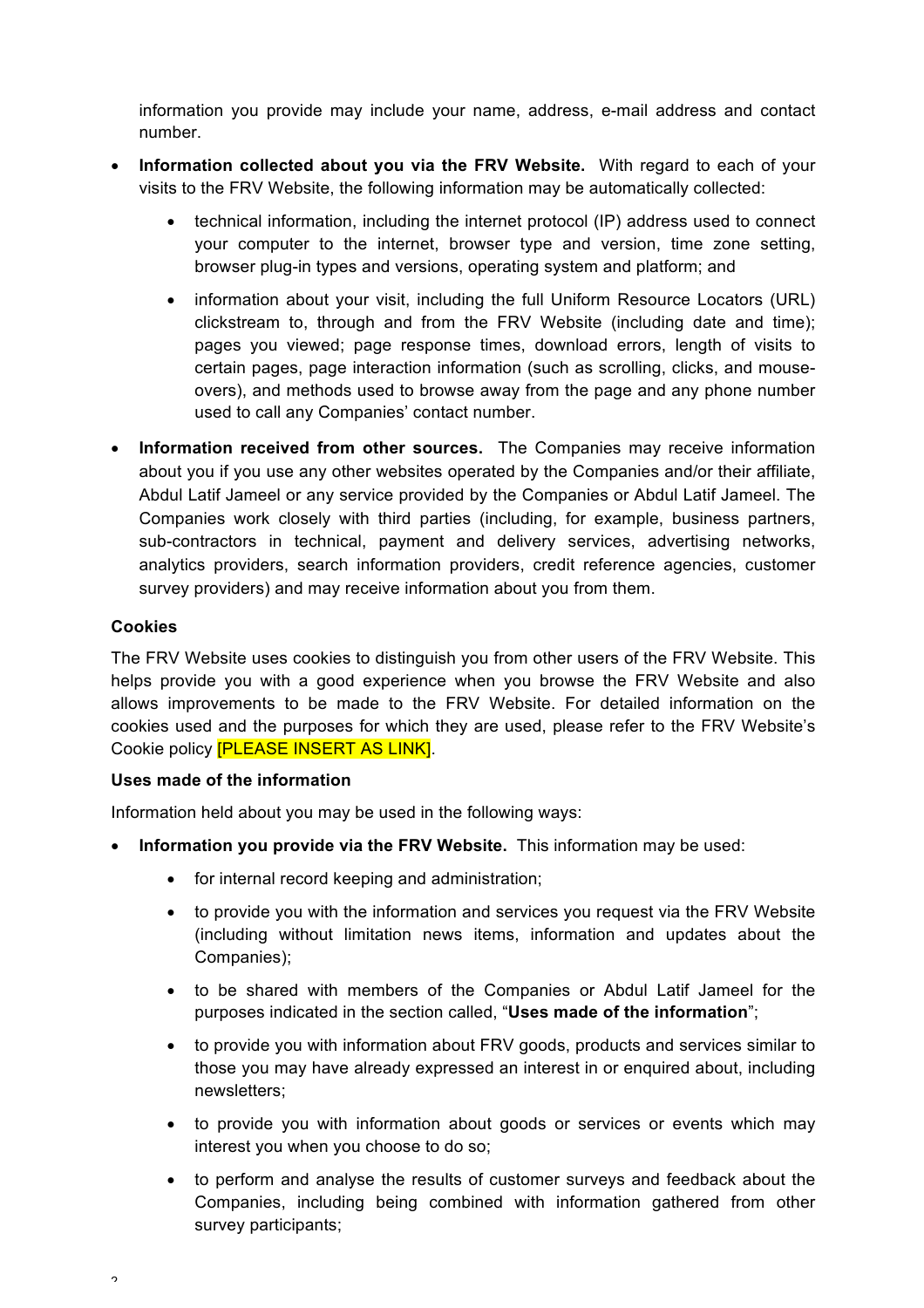information you provide may include your name, address, e-mail address and contact number.

- **Information collected about you via the FRV Website.** With regard to each of your visits to the FRV Website, the following information may be automatically collected:
	- technical information, including the internet protocol (IP) address used to connect your computer to the internet, browser type and version, time zone setting, browser plug-in types and versions, operating system and platform; and
	- information about your visit, including the full Uniform Resource Locators (URL) clickstream to, through and from the FRV Website (including date and time); pages you viewed; page response times, download errors, length of visits to certain pages, page interaction information (such as scrolling, clicks, and mouseovers), and methods used to browse away from the page and any phone number used to call any Companies' contact number.
- **Information received from other sources.** The Companies may receive information about you if you use any other websites operated by the Companies and/or their affiliate, Abdul Latif Jameel or any service provided by the Companies or Abdul Latif Jameel. The Companies work closely with third parties (including, for example, business partners, sub-contractors in technical, payment and delivery services, advertising networks, analytics providers, search information providers, credit reference agencies, customer survey providers) and may receive information about you from them.

# **Cookies**

The FRV Website uses cookies to distinguish you from other users of the FRV Website. This helps provide you with a good experience when you browse the FRV Website and also allows improvements to be made to the FRV Website. For detailed information on the cookies used and the purposes for which they are used, please refer to the FRV Website's Cookie policy [PLEASE INSERT AS LINK].

#### **Uses made of the information**

Information held about you may be used in the following ways:

- **Information you provide via the FRV Website.** This information may be used:
	- for internal record keeping and administration;
	- to provide you with the information and services you request via the FRV Website (including without limitation news items, information and updates about the Companies);
	- to be shared with members of the Companies or Abdul Latif Jameel for the purposes indicated in the section called, "**Uses made of the information**";
	- to provide you with information about FRV goods, products and services similar to those you may have already expressed an interest in or enquired about, including newsletters;
	- to provide you with information about goods or services or events which may interest you when you choose to do so;
	- to perform and analyse the results of customer surveys and feedback about the Companies, including being combined with information gathered from other survey participants;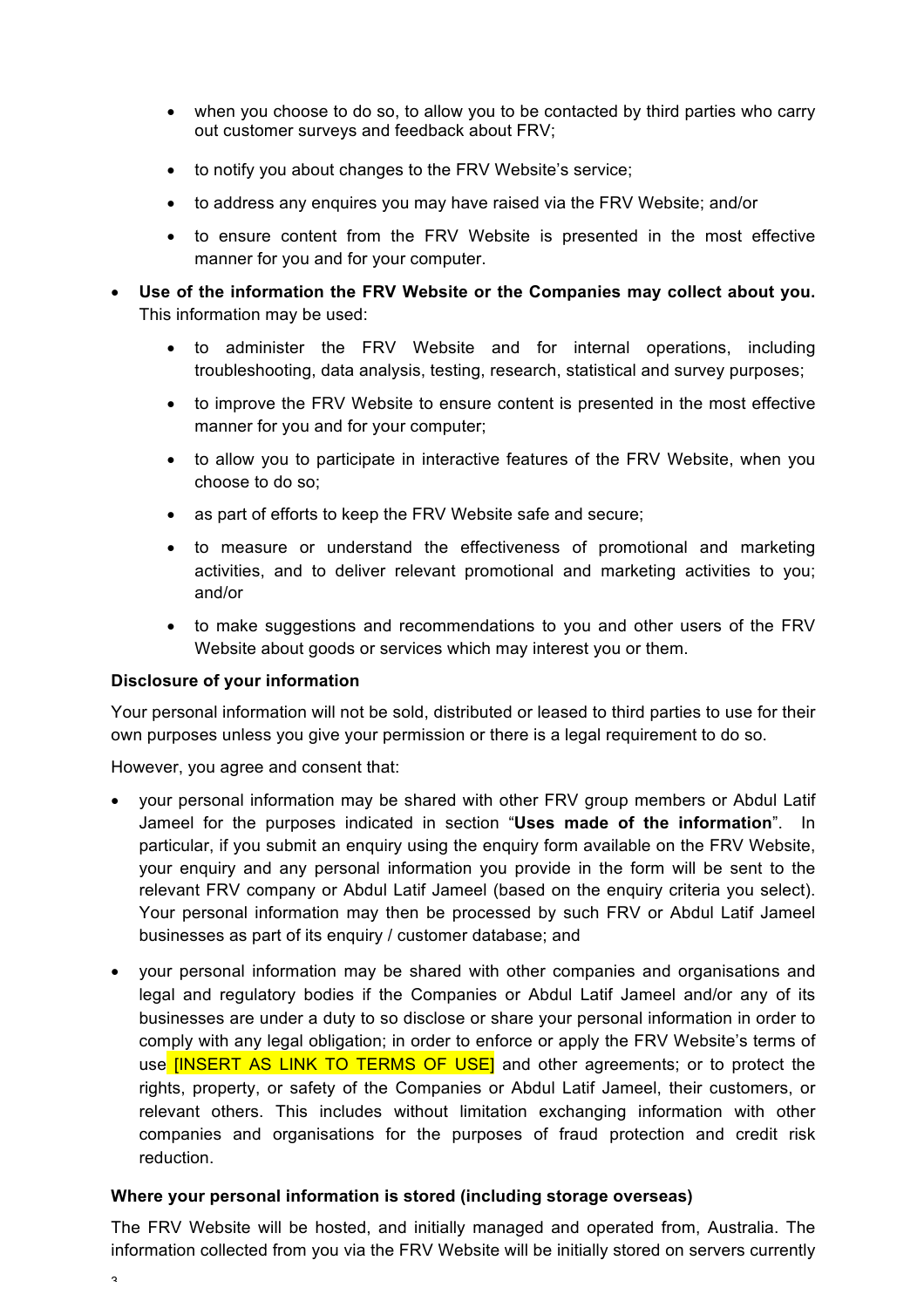- when you choose to do so, to allow you to be contacted by third parties who carry out customer surveys and feedback about FRV;
- to notify you about changes to the FRV Website's service;
- to address any enquires you may have raised via the FRV Website; and/or
- to ensure content from the FRV Website is presented in the most effective manner for you and for your computer.
- **Use of the information the FRV Website or the Companies may collect about you.** This information may be used:
	- to administer the FRV Website and for internal operations, including troubleshooting, data analysis, testing, research, statistical and survey purposes;
	- to improve the FRV Website to ensure content is presented in the most effective manner for you and for your computer;
	- to allow you to participate in interactive features of the FRV Website, when you choose to do so;
	- as part of efforts to keep the FRV Website safe and secure;
	- to measure or understand the effectiveness of promotional and marketing activities, and to deliver relevant promotional and marketing activities to you; and/or
	- to make suggestions and recommendations to you and other users of the FRV Website about goods or services which may interest you or them.

#### **Disclosure of your information**

Your personal information will not be sold, distributed or leased to third parties to use for their own purposes unless you give your permission or there is a legal requirement to do so.

However, you agree and consent that:

- your personal information may be shared with other FRV group members or Abdul Latif Jameel for the purposes indicated in section "**Uses made of the information**". In particular, if you submit an enquiry using the enquiry form available on the FRV Website, your enquiry and any personal information you provide in the form will be sent to the relevant FRV company or Abdul Latif Jameel (based on the enquiry criteria you select). Your personal information may then be processed by such FRV or Abdul Latif Jameel businesses as part of its enquiry / customer database; and
- your personal information may be shared with other companies and organisations and legal and regulatory bodies if the Companies or Abdul Latif Jameel and/or any of its businesses are under a duty to so disclose or share your personal information in order to comply with any legal obligation; in order to enforce or apply the FRV Website's terms of use **IINSERT AS LINK TO TERMS OF USEI** and other agreements; or to protect the rights, property, or safety of the Companies or Abdul Latif Jameel, their customers, or relevant others. This includes without limitation exchanging information with other companies and organisations for the purposes of fraud protection and credit risk reduction.

### **Where your personal information is stored (including storage overseas)**

The FRV Website will be hosted, and initially managed and operated from, Australia. The information collected from you via the FRV Website will be initially stored on servers currently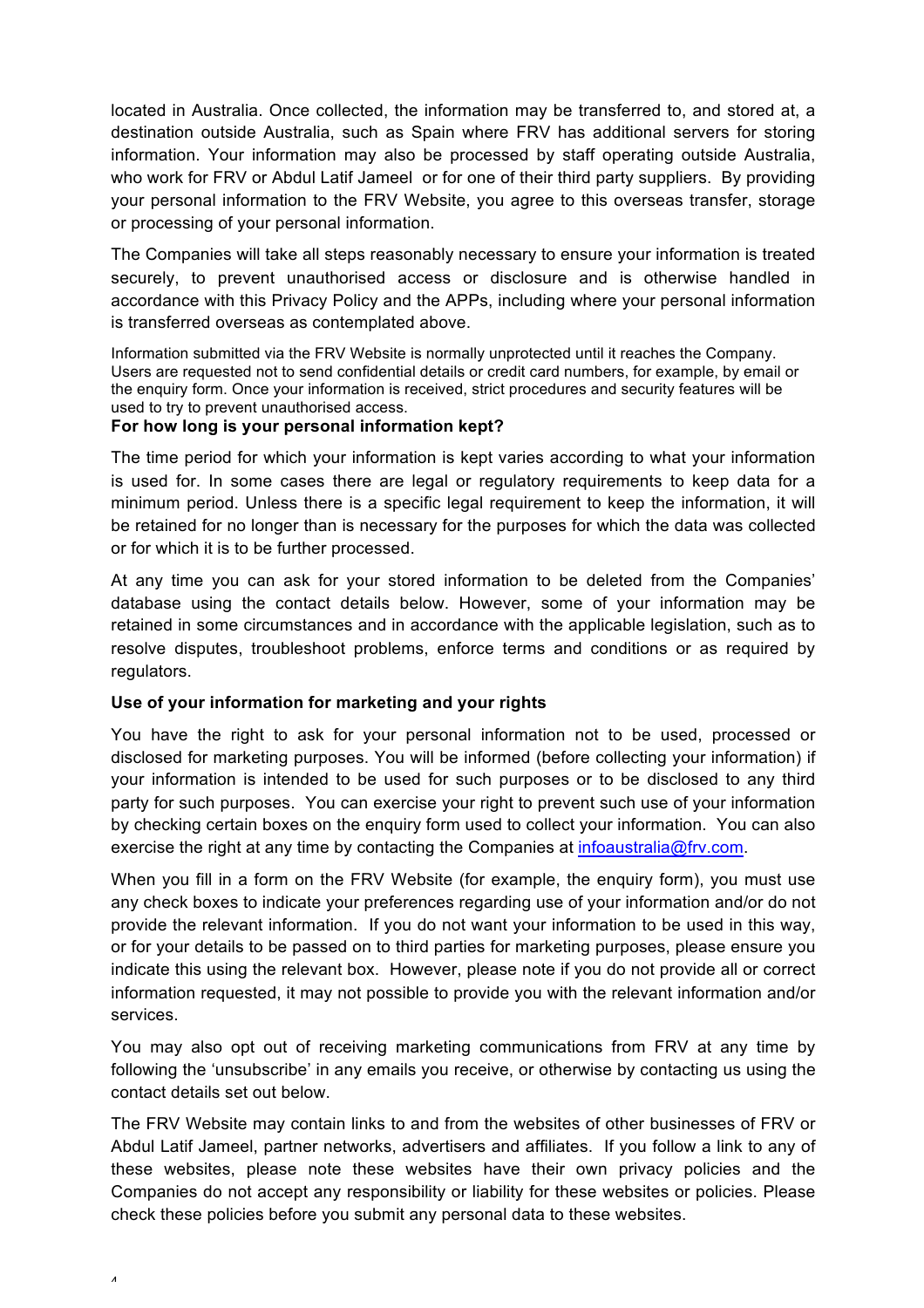located in Australia. Once collected, the information may be transferred to, and stored at, a destination outside Australia, such as Spain where FRV has additional servers for storing information. Your information may also be processed by staff operating outside Australia, who work for FRV or Abdul Latif Jameel or for one of their third party suppliers. By providing your personal information to the FRV Website, you agree to this overseas transfer, storage or processing of your personal information.

The Companies will take all steps reasonably necessary to ensure your information is treated securely, to prevent unauthorised access or disclosure and is otherwise handled in accordance with this Privacy Policy and the APPs, including where your personal information is transferred overseas as contemplated above.

Information submitted via the FRV Website is normally unprotected until it reaches the Company. Users are requested not to send confidential details or credit card numbers, for example, by email or the enquiry form. Once your information is received, strict procedures and security features will be used to try to prevent unauthorised access.

### **For how long is your personal information kept?**

The time period for which your information is kept varies according to what your information is used for. In some cases there are legal or regulatory requirements to keep data for a minimum period. Unless there is a specific legal requirement to keep the information, it will be retained for no longer than is necessary for the purposes for which the data was collected or for which it is to be further processed.

At any time you can ask for your stored information to be deleted from the Companies' database using the contact details below. However, some of your information may be retained in some circumstances and in accordance with the applicable legislation, such as to resolve disputes, troubleshoot problems, enforce terms and conditions or as required by regulators.

# **Use of your information for marketing and your rights**

You have the right to ask for your personal information not to be used, processed or disclosed for marketing purposes. You will be informed (before collecting your information) if your information is intended to be used for such purposes or to be disclosed to any third party for such purposes. You can exercise your right to prevent such use of your information by checking certain boxes on the enquiry form used to collect your information. You can also exercise the right at any time by contacting the Companies at infoaustralia@frv.com.

When you fill in a form on the FRV Website (for example, the enguiry form), you must use any check boxes to indicate your preferences regarding use of your information and/or do not provide the relevant information. If you do not want your information to be used in this way, or for your details to be passed on to third parties for marketing purposes, please ensure you indicate this using the relevant box. However, please note if you do not provide all or correct information requested, it may not possible to provide you with the relevant information and/or services.

You may also opt out of receiving marketing communications from FRV at any time by following the 'unsubscribe' in any emails you receive, or otherwise by contacting us using the contact details set out below.

The FRV Website may contain links to and from the websites of other businesses of FRV or Abdul Latif Jameel, partner networks, advertisers and affiliates. If you follow a link to any of these websites, please note these websites have their own privacy policies and the Companies do not accept any responsibility or liability for these websites or policies. Please check these policies before you submit any personal data to these websites.